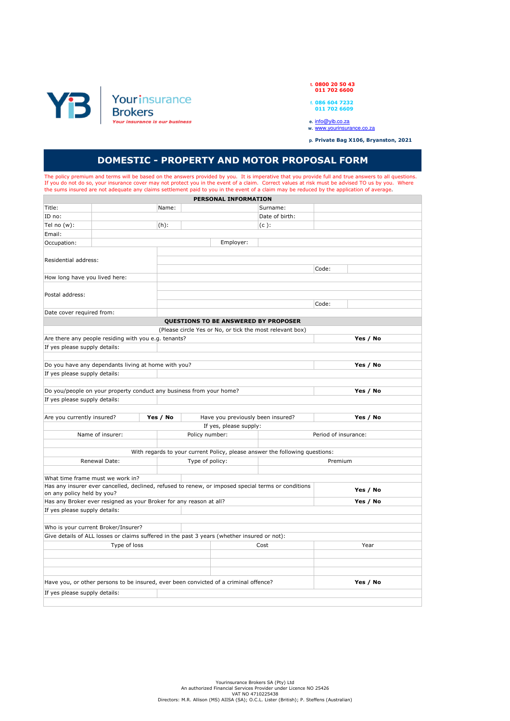

**t. 0800 20 50 43 011 702 6600**

- **f. 086 604 7232 011 702 6609**
- 
- **e.** info@yib.co.za **w.** www.yourinsurance.co.za

**p. Private Bag X106, Bryanston, 2021**

## **DOMESTIC - PROPERTY AND MOTOR PROPOSAL FORM**

The policy premium and terms will be based on the answers provided by you. It is imperative that you provide full and true answers to all questions.<br>If you do not do so, your insurance cover may not protect you in the even the sums insured are not adequate any claims settlement paid to you in the event of a claim may be reduced by the application of average.

|                                                                                 |                                                                                             |          |                 | PERSONAL INFORMATION              |                                                                                                    |                      |          |  |  |
|---------------------------------------------------------------------------------|---------------------------------------------------------------------------------------------|----------|-----------------|-----------------------------------|----------------------------------------------------------------------------------------------------|----------------------|----------|--|--|
| Title:                                                                          |                                                                                             | Name:    |                 |                                   | Surname:                                                                                           |                      |          |  |  |
| ID no:                                                                          |                                                                                             |          |                 |                                   | Date of birth:                                                                                     |                      |          |  |  |
| Tel no $(w)$ :                                                                  |                                                                                             | $(h)$ :  |                 |                                   | $(c)$ :                                                                                            |                      |          |  |  |
| Email:                                                                          |                                                                                             |          |                 |                                   |                                                                                                    |                      |          |  |  |
| Occupation:                                                                     |                                                                                             |          | Employer:       |                                   |                                                                                                    |                      |          |  |  |
|                                                                                 |                                                                                             |          |                 |                                   |                                                                                                    |                      |          |  |  |
| Residential address:                                                            |                                                                                             |          |                 |                                   |                                                                                                    |                      |          |  |  |
|                                                                                 |                                                                                             |          |                 |                                   |                                                                                                    | Code:                |          |  |  |
| How long have you lived here:                                                   |                                                                                             |          |                 |                                   |                                                                                                    |                      |          |  |  |
|                                                                                 |                                                                                             |          |                 |                                   |                                                                                                    |                      |          |  |  |
| Postal address:                                                                 |                                                                                             |          |                 |                                   |                                                                                                    |                      |          |  |  |
|                                                                                 |                                                                                             |          |                 |                                   | Code:                                                                                              |                      |          |  |  |
| Date cover required from:                                                       |                                                                                             |          |                 |                                   |                                                                                                    |                      |          |  |  |
|                                                                                 |                                                                                             |          |                 |                                   | QUESTIONS TO BE ANSWERED BY PROPOSER                                                               |                      |          |  |  |
|                                                                                 |                                                                                             |          |                 |                                   | (Please circle Yes or No, or tick the most relevant box)                                           |                      |          |  |  |
|                                                                                 | Are there any people residing with you e.g. tenants?                                        |          |                 |                                   |                                                                                                    |                      | Yes / No |  |  |
| If yes please supply details:                                                   |                                                                                             |          |                 |                                   |                                                                                                    |                      |          |  |  |
|                                                                                 |                                                                                             |          |                 |                                   |                                                                                                    |                      |          |  |  |
| Do you have any dependants living at home with you?                             |                                                                                             |          |                 |                                   |                                                                                                    |                      | Yes / No |  |  |
| If yes please supply details:                                                   |                                                                                             |          |                 |                                   |                                                                                                    |                      |          |  |  |
|                                                                                 |                                                                                             |          |                 |                                   |                                                                                                    |                      |          |  |  |
| Do you/people on your property conduct any business from your home?<br>Yes / No |                                                                                             |          |                 |                                   |                                                                                                    |                      |          |  |  |
| If yes please supply details:                                                   |                                                                                             |          |                 |                                   |                                                                                                    |                      |          |  |  |
|                                                                                 |                                                                                             |          |                 |                                   |                                                                                                    |                      |          |  |  |
| Are you currently insured?                                                      |                                                                                             | Yes / No |                 | Have you previously been insured? |                                                                                                    |                      | Yes / No |  |  |
|                                                                                 |                                                                                             |          |                 | If yes, please supply:            |                                                                                                    |                      |          |  |  |
|                                                                                 | Name of insurer:                                                                            |          | Policy number:  |                                   |                                                                                                    | Period of insurance: |          |  |  |
|                                                                                 |                                                                                             |          |                 |                                   |                                                                                                    |                      |          |  |  |
|                                                                                 |                                                                                             |          |                 |                                   | With regards to your current Policy, please answer the following questions:                        |                      |          |  |  |
|                                                                                 | Renewal Date:                                                                               |          | Type of policy: |                                   |                                                                                                    | Premium              |          |  |  |
|                                                                                 |                                                                                             |          |                 |                                   |                                                                                                    |                      |          |  |  |
|                                                                                 | What time frame must we work in?                                                            |          |                 |                                   |                                                                                                    |                      |          |  |  |
|                                                                                 |                                                                                             |          |                 |                                   | Has any insurer ever cancelled, declined, refused to renew, or imposed special terms or conditions |                      | Yes / No |  |  |
| on any policy held by you?                                                      |                                                                                             |          |                 |                                   |                                                                                                    |                      |          |  |  |
|                                                                                 | Has any Broker ever resigned as your Broker for any reason at all?                          |          |                 |                                   |                                                                                                    |                      | Yes / No |  |  |
| If yes please supply details:                                                   |                                                                                             |          |                 |                                   |                                                                                                    |                      |          |  |  |
|                                                                                 |                                                                                             |          |                 |                                   |                                                                                                    |                      |          |  |  |
|                                                                                 | Who is your current Broker/Insurer?                                                         |          |                 |                                   |                                                                                                    |                      |          |  |  |
|                                                                                 | Give details of ALL losses or claims suffered in the past 3 years (whether insured or not): |          |                 |                                   |                                                                                                    |                      |          |  |  |
|                                                                                 | Type of loss                                                                                |          |                 | Cost                              |                                                                                                    | Year                 |          |  |  |
|                                                                                 |                                                                                             |          |                 |                                   |                                                                                                    |                      |          |  |  |
|                                                                                 |                                                                                             |          |                 |                                   |                                                                                                    |                      |          |  |  |
|                                                                                 |                                                                                             |          |                 |                                   |                                                                                                    |                      |          |  |  |
|                                                                                 | Have you, or other persons to be insured, ever been convicted of a criminal offence?        |          |                 |                                   |                                                                                                    |                      | Yes / No |  |  |
| If yes please supply details:                                                   |                                                                                             |          |                 |                                   |                                                                                                    |                      |          |  |  |
|                                                                                 |                                                                                             |          |                 |                                   |                                                                                                    |                      |          |  |  |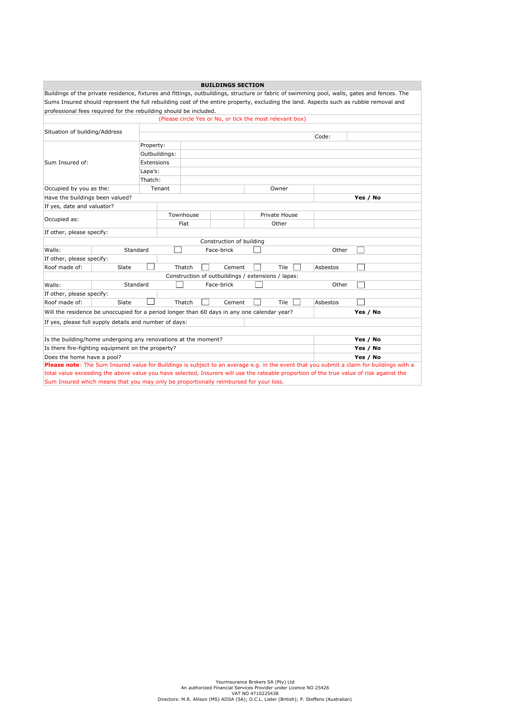|                                                                                                                                          |                                                                   |            |               |        | <b>BUILDINGS SECTION</b>                           |               |             |          |                                                                                                                                             |
|------------------------------------------------------------------------------------------------------------------------------------------|-------------------------------------------------------------------|------------|---------------|--------|----------------------------------------------------|---------------|-------------|----------|---------------------------------------------------------------------------------------------------------------------------------------------|
|                                                                                                                                          |                                                                   |            |               |        |                                                    |               |             |          | Buildings of the private residence, fixtures and fittings, outbuildings, structure or fabric of swimming pool, walls, gates and fences. The |
|                                                                                                                                          |                                                                   |            |               |        |                                                    |               |             |          | Sums Insured should represent the full rebuilding cost of the entire property, excluding the land. Aspects such as rubble removal and       |
|                                                                                                                                          | professional fees required for the rebuilding should be included. |            |               |        |                                                    |               |             |          |                                                                                                                                             |
| (Please circle Yes or No, or tick the most relevant box)                                                                                 |                                                                   |            |               |        |                                                    |               |             |          |                                                                                                                                             |
| Situation of building/Address                                                                                                            |                                                                   |            |               |        |                                                    |               |             |          |                                                                                                                                             |
|                                                                                                                                          |                                                                   |            |               |        |                                                    |               |             | Code:    |                                                                                                                                             |
|                                                                                                                                          |                                                                   | Property:  |               |        |                                                    |               |             |          |                                                                                                                                             |
|                                                                                                                                          |                                                                   |            | Outbuildings: |        |                                                    |               |             |          |                                                                                                                                             |
| Sum Insured of:                                                                                                                          |                                                                   | Extensions |               |        |                                                    |               |             |          |                                                                                                                                             |
|                                                                                                                                          |                                                                   | Lapa's:    |               |        |                                                    |               |             |          |                                                                                                                                             |
|                                                                                                                                          |                                                                   | Thatch:    |               |        |                                                    |               |             |          |                                                                                                                                             |
| Occupied by you as the:                                                                                                                  |                                                                   |            | Tenant        |        |                                                    |               | Owner       |          |                                                                                                                                             |
| Have the buildings been valued?                                                                                                          |                                                                   |            |               |        |                                                    |               |             |          | Yes / No                                                                                                                                    |
| If yes, date and valuator?                                                                                                               |                                                                   |            |               |        |                                                    |               |             |          |                                                                                                                                             |
| Occupied as:                                                                                                                             |                                                                   |            | Townhouse     |        |                                                    | Private House |             |          |                                                                                                                                             |
|                                                                                                                                          |                                                                   |            |               | Flat   |                                                    |               | Other       |          |                                                                                                                                             |
| If other, please specify:                                                                                                                |                                                                   |            |               |        |                                                    |               |             |          |                                                                                                                                             |
| Construction of building                                                                                                                 |                                                                   |            |               |        |                                                    |               |             |          |                                                                                                                                             |
| Walls:                                                                                                                                   | Standard                                                          |            |               |        | Face-brick                                         |               |             | Other    |                                                                                                                                             |
| If other, please specify:                                                                                                                |                                                                   |            |               |        |                                                    |               |             |          |                                                                                                                                             |
| Roof made of:                                                                                                                            | Slate                                                             |            |               | Thatch | Cement                                             |               | <b>Tile</b> | Asbestos |                                                                                                                                             |
|                                                                                                                                          |                                                                   |            |               |        | Construction of outbuildings / extensions / lapas: |               |             |          |                                                                                                                                             |
| Walls:                                                                                                                                   | Standard                                                          |            |               |        | Face-brick                                         |               |             | Other    |                                                                                                                                             |
| If other, please specify:                                                                                                                |                                                                   |            |               |        |                                                    |               |             |          |                                                                                                                                             |
| Roof made of:                                                                                                                            | Slate                                                             |            |               | Thatch | Cement                                             |               | Tile        | Asbestos |                                                                                                                                             |
| Will the residence be unoccupied for a period longer than 60 days in any one calendar year?                                              |                                                                   |            |               |        |                                                    |               |             |          | Yes / No                                                                                                                                    |
| If yes, please full supply details and number of days:                                                                                   |                                                                   |            |               |        |                                                    |               |             |          |                                                                                                                                             |
|                                                                                                                                          |                                                                   |            |               |        |                                                    |               |             |          |                                                                                                                                             |
| Is the building/home undergoing any renovations at the moment?<br>Yes / No                                                               |                                                                   |            |               |        |                                                    |               |             |          |                                                                                                                                             |
| Is there fire-fighting equipment on the property?<br>Yes / No                                                                            |                                                                   |            |               |        |                                                    |               |             |          |                                                                                                                                             |
| Does the home have a pool?<br>Yes / No                                                                                                   |                                                                   |            |               |        |                                                    |               |             |          |                                                                                                                                             |
| Please note: The Sum Insured value for Buildings is subject to an average e.g. in the event that you submit a claim for buildings with a |                                                                   |            |               |        |                                                    |               |             |          |                                                                                                                                             |
| total value exceeding the above value you have selected, Insurers will use the rateable proportion of the true value of risk against the |                                                                   |            |               |        |                                                    |               |             |          |                                                                                                                                             |
| Sum Insured which means that you may only be proportionally reimbursed for your loss.                                                    |                                                                   |            |               |        |                                                    |               |             |          |                                                                                                                                             |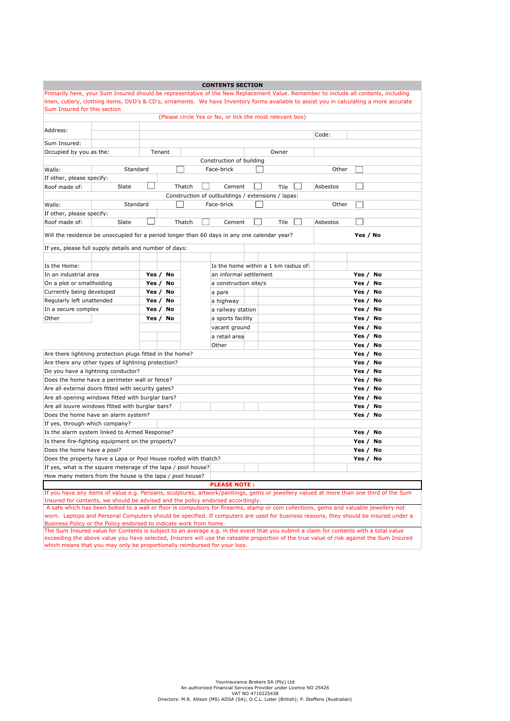|                                                                                                                                         |                                                                                                                                         |       |          |        |  | <b>CONTENTS SECTION</b>              |       |    |             |  |          |       |          |  |
|-----------------------------------------------------------------------------------------------------------------------------------------|-----------------------------------------------------------------------------------------------------------------------------------------|-------|----------|--------|--|--------------------------------------|-------|----|-------------|--|----------|-------|----------|--|
|                                                                                                                                         | Primarily here, your Sum Insured should be representative of the New Replacement Value. Remember to include all contents, including     |       |          |        |  |                                      |       |    |             |  |          |       |          |  |
| linen, cutlery, clothing items, DVD's & CD's, ornaments. We have Inventory forms available to assist you in calculating a more accurate |                                                                                                                                         |       |          |        |  |                                      |       |    |             |  |          |       |          |  |
| Sum Insured for this section<br>(Please circle Yes or No, or tick the most relevant box)                                                |                                                                                                                                         |       |          |        |  |                                      |       |    |             |  |          |       |          |  |
|                                                                                                                                         |                                                                                                                                         |       |          |        |  |                                      |       |    |             |  |          |       |          |  |
| Address:                                                                                                                                |                                                                                                                                         |       |          |        |  |                                      |       |    |             |  |          |       |          |  |
| Sum Insured:                                                                                                                            | Code:                                                                                                                                   |       |          |        |  |                                      |       |    |             |  |          |       |          |  |
| Occupied by you as the:<br>Tenant<br>Owner                                                                                              |                                                                                                                                         |       |          |        |  |                                      |       |    |             |  |          |       |          |  |
| Construction of building                                                                                                                |                                                                                                                                         |       |          |        |  |                                      |       |    |             |  |          |       |          |  |
| Standard<br>Other<br>Face-brick<br>Walls:                                                                                               |                                                                                                                                         |       |          |        |  |                                      |       |    |             |  |          |       |          |  |
| If other, please specify:                                                                                                               |                                                                                                                                         |       |          |        |  |                                      |       |    |             |  |          |       |          |  |
| Roof made of:                                                                                                                           | Slate                                                                                                                                   |       |          | Thatch |  | Cement                               |       |    | Tile        |  | Asbestos |       |          |  |
|                                                                                                                                         |                                                                                                                                         |       |          |        |  |                                      |       |    |             |  |          |       |          |  |
| Construction of outbuildings / extensions / lapas:<br>Walls:<br>Standard<br>Face-brick<br>Other                                         |                                                                                                                                         |       |          |        |  |                                      |       |    |             |  |          |       |          |  |
| If other, please specify:                                                                                                               |                                                                                                                                         |       |          |        |  |                                      |       |    |             |  |          |       |          |  |
| Roof made of:                                                                                                                           | Slate                                                                                                                                   |       |          | Thatch |  | Cement                               |       |    | <b>Tile</b> |  | Asbestos |       |          |  |
|                                                                                                                                         |                                                                                                                                         |       |          |        |  |                                      |       |    |             |  |          |       |          |  |
|                                                                                                                                         | Will the residence be unoccupied for a period longer than 60 days in any one calendar year?                                             |       |          |        |  |                                      |       |    |             |  |          |       | Yes / No |  |
|                                                                                                                                         | If yes, please full supply details and number of days:                                                                                  |       |          |        |  |                                      |       |    |             |  |          |       |          |  |
|                                                                                                                                         |                                                                                                                                         |       |          |        |  |                                      |       |    |             |  |          |       |          |  |
| Is the Home:                                                                                                                            |                                                                                                                                         |       |          |        |  | Is the home within a 1 km radius of: |       |    |             |  |          |       |          |  |
| In an industrial area                                                                                                                   |                                                                                                                                         |       | Yes / No |        |  | an informal settlement               |       |    |             |  |          | Yes / | No       |  |
| On a plot or smallholding<br>Yes $/$<br>No<br>a construction site/s                                                                     |                                                                                                                                         |       |          |        |  |                                      | Yes / | No |             |  |          |       |          |  |
| Currently being developed                                                                                                               |                                                                                                                                         | Yes / | No       |        |  | a park                               |       |    |             |  |          | Yes / | No       |  |
| Regularly left unattended                                                                                                               |                                                                                                                                         | Yes / | No       |        |  | a highway                            |       |    |             |  |          | Yes / | No       |  |
| In a secure complex                                                                                                                     |                                                                                                                                         | Yes / | No       |        |  | a railway station                    |       |    |             |  |          | Yes / | No       |  |
| Other                                                                                                                                   |                                                                                                                                         | Yes / | No       |        |  | a sports facility                    |       |    |             |  |          | Yes / | No       |  |
|                                                                                                                                         |                                                                                                                                         |       |          |        |  | vacant ground                        |       |    |             |  |          | Yes / | No       |  |
|                                                                                                                                         |                                                                                                                                         |       |          |        |  | a retail area                        |       |    |             |  |          | Yes / | No       |  |
|                                                                                                                                         |                                                                                                                                         |       |          |        |  | Other                                |       |    |             |  |          | Yes / | No       |  |
|                                                                                                                                         | Are there lightning protection plugs fitted in the home?                                                                                |       |          |        |  |                                      |       |    |             |  |          | Yes / | No       |  |
|                                                                                                                                         | Are there any other types of lightning protection?                                                                                      |       |          |        |  |                                      |       |    |             |  |          | Yes / | No       |  |
|                                                                                                                                         | Do you have a lightning conductor?                                                                                                      |       |          |        |  |                                      |       |    |             |  |          | Yes / | No       |  |
|                                                                                                                                         | Does the home have a perimeter wall or fence?<br>Yes /<br>No                                                                            |       |          |        |  |                                      |       |    |             |  |          |       |          |  |
|                                                                                                                                         | Are all external doors fitted with security gates?                                                                                      |       |          |        |  |                                      |       |    |             |  |          | Yes / | No       |  |
|                                                                                                                                         | Are all opening windows fitted with burglar bars?                                                                                       |       |          |        |  |                                      |       |    |             |  |          | Yes / | No       |  |
|                                                                                                                                         | Are all louvre windows fitted with burglar bars?                                                                                        |       |          |        |  |                                      |       |    |             |  |          | Yes / | No       |  |
|                                                                                                                                         | Does the home have an alarm system?                                                                                                     |       |          |        |  |                                      |       |    |             |  |          | Yes / | No       |  |
| If yes, through which company?                                                                                                          |                                                                                                                                         |       |          |        |  |                                      |       |    |             |  |          |       |          |  |
|                                                                                                                                         | Is the alarm system linked to Armed Response?                                                                                           |       |          |        |  |                                      |       |    |             |  |          | Yes / | No       |  |
| Yes /<br>Is there fire-fighting equipment on the property?<br>No                                                                        |                                                                                                                                         |       |          |        |  |                                      |       |    |             |  |          |       |          |  |
| Does the home have a pool?<br>Yes /<br>No                                                                                               |                                                                                                                                         |       |          |        |  |                                      |       |    |             |  |          |       |          |  |
|                                                                                                                                         | Does the property have a Lapa or Pool House roofed with thatch?                                                                         |       |          |        |  |                                      |       |    |             |  |          | Yes / | No       |  |
|                                                                                                                                         | If yes, what is the square meterage of the lapa / pool house?                                                                           |       |          |        |  |                                      |       |    |             |  |          |       |          |  |
|                                                                                                                                         | How many meters from the house is the lapa / pool house?                                                                                |       |          |        |  |                                      |       |    |             |  |          |       |          |  |
| <b>PLEASE NOTE:</b>                                                                                                                     |                                                                                                                                         |       |          |        |  |                                      |       |    |             |  |          |       |          |  |
|                                                                                                                                         | If you have any items of value e.g. Persians, sculptures, artwork/paintings, gems or jewellery valued at more than one third of the Sum |       |          |        |  |                                      |       |    |             |  |          |       |          |  |
|                                                                                                                                         | Insured for contents, we should be advised and the policy endorsed accordingly.                                                         |       |          |        |  |                                      |       |    |             |  |          |       |          |  |

 A safe which has been bolted to a wall or floor is compulsory for firearms, stamp or coin collections, gems and valuable jewellery not worn. Laptops and Personal Computers should be specified. If computers are used for business reasons, they should be insured under a Business Policy or the Policy endorsed to indicate work from home.

The Sum Insured value for Contents is subject to an average e.g. in the event that you submit a claim for contents with a total value exceeding the above value you have selected, Insurers will use the rateable proportion of the true value of risk against the Sum Insured which means that you may only be proportionally reimbursed for your loss.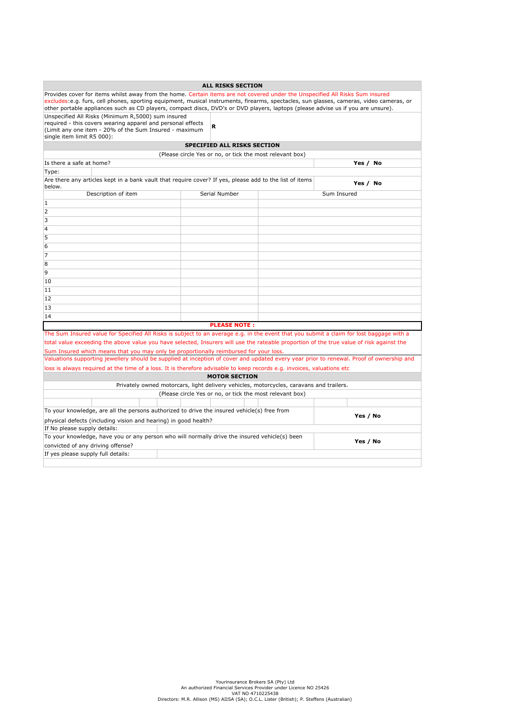|                                                                                                                                          |  | <b>ALL RISKS SECTION</b>                                 |  |             |  |  |  |  |  |
|------------------------------------------------------------------------------------------------------------------------------------------|--|----------------------------------------------------------|--|-------------|--|--|--|--|--|
| Provides cover for items whilst away from the home. Certain items are not covered under the Unspecified All Risks Sum insured            |  |                                                          |  |             |  |  |  |  |  |
| excludes:e.g. furs, cell phones, sporting equipment, musical instruments, firearms, spectacles, sun glasses, cameras, video cameras, or  |  |                                                          |  |             |  |  |  |  |  |
| other portable appliances such as CD players, compact discs, DVD's or DVD players, laptops (please advise us if you are unsure).         |  |                                                          |  |             |  |  |  |  |  |
| Unspecified All Risks (Minimum R.5000) sum insured<br>required - this covers wearing apparel and personal effects                        |  |                                                          |  |             |  |  |  |  |  |
| (Limit any one item - 20% of the Sum Insured - maximum                                                                                   |  | R                                                        |  |             |  |  |  |  |  |
| single item limit R5 000):                                                                                                               |  |                                                          |  |             |  |  |  |  |  |
|                                                                                                                                          |  | SPECIFIED ALL RISKS SECTION                              |  |             |  |  |  |  |  |
| (Please circle Yes or no, or tick the most relevant box)                                                                                 |  |                                                          |  |             |  |  |  |  |  |
| Is there a safe at home?                                                                                                                 |  |                                                          |  | Yes / No    |  |  |  |  |  |
| Type:                                                                                                                                    |  |                                                          |  |             |  |  |  |  |  |
| Are there any articles kept in a bank vault that require cover? If yes, please add to the list of items<br>below.                        |  |                                                          |  | Yes / No    |  |  |  |  |  |
| Description of item                                                                                                                      |  | Serial Number                                            |  | Sum Insured |  |  |  |  |  |
| $\mathbf{1}$                                                                                                                             |  |                                                          |  |             |  |  |  |  |  |
| $\overline{2}$                                                                                                                           |  |                                                          |  |             |  |  |  |  |  |
| 3                                                                                                                                        |  |                                                          |  |             |  |  |  |  |  |
| $\overline{4}$                                                                                                                           |  |                                                          |  |             |  |  |  |  |  |
| 5                                                                                                                                        |  |                                                          |  |             |  |  |  |  |  |
| 6                                                                                                                                        |  |                                                          |  |             |  |  |  |  |  |
| $\overline{7}$                                                                                                                           |  |                                                          |  |             |  |  |  |  |  |
| 8                                                                                                                                        |  |                                                          |  |             |  |  |  |  |  |
| 9                                                                                                                                        |  |                                                          |  |             |  |  |  |  |  |
| 10                                                                                                                                       |  |                                                          |  |             |  |  |  |  |  |
| 11                                                                                                                                       |  |                                                          |  |             |  |  |  |  |  |
| 12                                                                                                                                       |  |                                                          |  |             |  |  |  |  |  |
| 13                                                                                                                                       |  |                                                          |  |             |  |  |  |  |  |
| 14                                                                                                                                       |  |                                                          |  |             |  |  |  |  |  |
|                                                                                                                                          |  | <b>PLEASE NOTE:</b>                                      |  |             |  |  |  |  |  |
| The Sum Insured value for Specified All Risks is subject to an average e.g. in the event that you submit a claim for lost baggage with a |  |                                                          |  |             |  |  |  |  |  |
| total value exceeding the above value you have selected, Insurers will use the rateable proportion of the true value of risk against the |  |                                                          |  |             |  |  |  |  |  |
| Sum Insured which means that you may only be proportionally reimbursed for your loss.                                                    |  |                                                          |  |             |  |  |  |  |  |
| Valuations supporting jewellery should be supplied at inception of cover and updated every year prior to renewal. Proof of ownership and |  |                                                          |  |             |  |  |  |  |  |
| loss is always required at the time of a loss. It is therefore advisable to keep records e.g. invoices, valuations etc                   |  |                                                          |  |             |  |  |  |  |  |
| <b>MOTOR SECTION</b>                                                                                                                     |  |                                                          |  |             |  |  |  |  |  |
| Privately owned motorcars, light delivery vehicles, motorcycles, caravans and trailers.                                                  |  |                                                          |  |             |  |  |  |  |  |
|                                                                                                                                          |  | (Please circle Yes or no, or tick the most relevant box) |  |             |  |  |  |  |  |
|                                                                                                                                          |  |                                                          |  |             |  |  |  |  |  |
| To your knowledge, are all the persons authorized to drive the insured vehicle(s) free from                                              |  |                                                          |  | Yes / No    |  |  |  |  |  |
| physical defects (including vision and hearing) in good health?                                                                          |  |                                                          |  |             |  |  |  |  |  |
| If No please supply details:<br>To your knowledge, have you or any person who will normally drive the insured vehicle(s) been            |  |                                                          |  |             |  |  |  |  |  |
|                                                                                                                                          |  |                                                          |  | Yes / No    |  |  |  |  |  |
| convicted of any driving offense?<br>If yes please supply full details:                                                                  |  |                                                          |  |             |  |  |  |  |  |
|                                                                                                                                          |  |                                                          |  |             |  |  |  |  |  |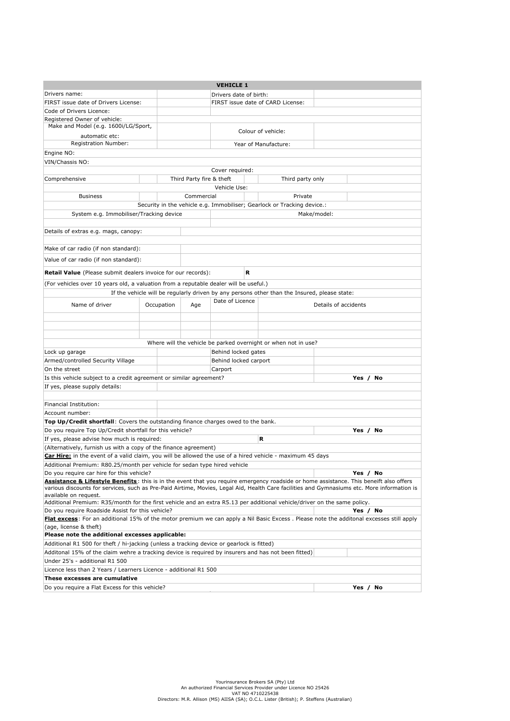|                                                                                                                                                    |                                                                                                                                                                                        |                                   |                          | <b>VEHICLE 1</b>       |                                                                                              |             |          |
|----------------------------------------------------------------------------------------------------------------------------------------------------|----------------------------------------------------------------------------------------------------------------------------------------------------------------------------------------|-----------------------------------|--------------------------|------------------------|----------------------------------------------------------------------------------------------|-------------|----------|
| Drivers name:                                                                                                                                      |                                                                                                                                                                                        |                                   |                          | Drivers date of birth: |                                                                                              |             |          |
| FIRST issue date of Drivers License:                                                                                                               |                                                                                                                                                                                        | FIRST issue date of CARD License: |                          |                        |                                                                                              |             |          |
| Code of Drivers Licence:                                                                                                                           |                                                                                                                                                                                        |                                   |                          |                        |                                                                                              |             |          |
| Registered Owner of vehicle:                                                                                                                       |                                                                                                                                                                                        |                                   |                          |                        |                                                                                              |             |          |
| Make and Model (e.g. 1600i/LG/Sport,<br>automatic etc:                                                                                             |                                                                                                                                                                                        |                                   |                          |                        | Colour of vehicle:                                                                           |             |          |
| Registration Number:                                                                                                                               |                                                                                                                                                                                        |                                   |                          |                        | Year of Manufacture:                                                                         |             |          |
| Engine NO:                                                                                                                                         |                                                                                                                                                                                        |                                   |                          |                        |                                                                                              |             |          |
| VIN/Chassis NO:                                                                                                                                    |                                                                                                                                                                                        |                                   |                          |                        |                                                                                              |             |          |
|                                                                                                                                                    |                                                                                                                                                                                        |                                   |                          | Cover required:        |                                                                                              |             |          |
| Comprehensive                                                                                                                                      |                                                                                                                                                                                        |                                   | Third Party fire & theft |                        | Third party only                                                                             |             |          |
|                                                                                                                                                    |                                                                                                                                                                                        |                                   |                          | Vehicle Use:           |                                                                                              |             |          |
| <b>Business</b>                                                                                                                                    |                                                                                                                                                                                        |                                   | Commercial               |                        | Private                                                                                      |             |          |
|                                                                                                                                                    |                                                                                                                                                                                        |                                   |                          |                        | Security in the vehicle e.g. Immobiliser; Gearlock or Tracking device.:                      |             |          |
| System e.g. Immobiliser/Tracking device                                                                                                            |                                                                                                                                                                                        |                                   |                          |                        |                                                                                              | Make/model: |          |
|                                                                                                                                                    |                                                                                                                                                                                        |                                   |                          |                        |                                                                                              |             |          |
| Details of extras e.g. mags, canopy:                                                                                                               |                                                                                                                                                                                        |                                   |                          |                        |                                                                                              |             |          |
|                                                                                                                                                    |                                                                                                                                                                                        |                                   |                          |                        |                                                                                              |             |          |
| Make of car radio (if non standard):                                                                                                               |                                                                                                                                                                                        |                                   |                          |                        |                                                                                              |             |          |
| Value of car radio (if non standard):                                                                                                              |                                                                                                                                                                                        |                                   |                          |                        |                                                                                              |             |          |
| <b>Retail Value</b> (Please submit dealers invoice for our records):                                                                               |                                                                                                                                                                                        |                                   |                          | R                      |                                                                                              |             |          |
| (For vehicles over 10 years old, a valuation from a reputable dealer will be useful.)                                                              |                                                                                                                                                                                        |                                   |                          |                        |                                                                                              |             |          |
|                                                                                                                                                    |                                                                                                                                                                                        |                                   |                          |                        | If the vehicle will be regularly driven by any persons other than the Insured, please state: |             |          |
|                                                                                                                                                    |                                                                                                                                                                                        |                                   |                          | Date of Licence        |                                                                                              |             |          |
| Name of driver                                                                                                                                     |                                                                                                                                                                                        | Occupation                        | Age                      |                        | Details of accidents                                                                         |             |          |
|                                                                                                                                                    |                                                                                                                                                                                        |                                   |                          |                        |                                                                                              |             |          |
|                                                                                                                                                    |                                                                                                                                                                                        |                                   |                          |                        |                                                                                              |             |          |
|                                                                                                                                                    |                                                                                                                                                                                        |                                   |                          |                        |                                                                                              |             |          |
|                                                                                                                                                    |                                                                                                                                                                                        |                                   |                          |                        | Where will the vehicle be parked overnight or when not in use?                               |             |          |
| Lock up garage                                                                                                                                     |                                                                                                                                                                                        |                                   |                          | Behind locked gates    |                                                                                              |             |          |
| Armed/controlled Security Village                                                                                                                  |                                                                                                                                                                                        |                                   |                          | Behind locked carport  |                                                                                              |             |          |
| On the street                                                                                                                                      |                                                                                                                                                                                        |                                   |                          | Carport                |                                                                                              |             |          |
| Is this vehicle subject to a credit agreement or similar agreement?                                                                                |                                                                                                                                                                                        |                                   |                          |                        |                                                                                              |             | Yes / No |
| If yes, please supply details:                                                                                                                     |                                                                                                                                                                                        |                                   |                          |                        |                                                                                              |             |          |
|                                                                                                                                                    |                                                                                                                                                                                        |                                   |                          |                        |                                                                                              |             |          |
| Financial Institution:                                                                                                                             |                                                                                                                                                                                        |                                   |                          |                        |                                                                                              |             |          |
| Account number:                                                                                                                                    |                                                                                                                                                                                        |                                   |                          |                        |                                                                                              |             |          |
| Top Up/Credit shortfall: Covers the outstanding finance charges owed to the bank.                                                                  |                                                                                                                                                                                        |                                   |                          |                        |                                                                                              |             |          |
| Do you require Top Up/Credit shortfall for this vehicle?                                                                                           |                                                                                                                                                                                        |                                   |                          |                        |                                                                                              |             | Yes / No |
| If yes, please advise how much is required:                                                                                                        |                                                                                                                                                                                        |                                   |                          |                        | R                                                                                            |             |          |
| (Alternatively, furnish us with a copy of the finance agreement)                                                                                   |                                                                                                                                                                                        |                                   |                          |                        |                                                                                              |             |          |
|                                                                                                                                                    | Car Hire: in the event of a valid claim, you will be allowed the use of a hired vehicle - maximum 45 days<br>Additional Premium: R80.25/month per vehicle for sedan type hired vehicle |                                   |                          |                        |                                                                                              |             |          |
| Do you require car hire for this vehicle?                                                                                                          |                                                                                                                                                                                        |                                   |                          |                        |                                                                                              |             | Yes / No |
| <b>Assistance &amp; Lifestyle Benefits</b> : this is in the event that you require emergency roadside or home assistance. This beneift also offers |                                                                                                                                                                                        |                                   |                          |                        |                                                                                              |             |          |
| various discounts for services, such as Pre-Paid Airtime, Movies, Legal Aid, Health Care facilities and Gymnasiums etc. More information is        |                                                                                                                                                                                        |                                   |                          |                        |                                                                                              |             |          |
| available on request.                                                                                                                              |                                                                                                                                                                                        |                                   |                          |                        |                                                                                              |             |          |
| Additional Premium: R35/month for the first vehicle and an extra R5.13 per additional vehicle/driver on the same policy.                           |                                                                                                                                                                                        |                                   |                          |                        |                                                                                              |             |          |
| Do you require Roadside Assist for this vehicle?<br>Yes / No                                                                                       |                                                                                                                                                                                        |                                   |                          |                        |                                                                                              |             |          |
| Flat excess: For an additional 15% of the motor premium we can apply a Nil Basic Excess. Please note the additonal excesses still apply            |                                                                                                                                                                                        |                                   |                          |                        |                                                                                              |             |          |
| (age, license & theft)                                                                                                                             |                                                                                                                                                                                        |                                   |                          |                        |                                                                                              |             |          |
| Please note the additional excesses applicable:<br>Additional R1 500 for theft / hi-jacking (unless a tracking device or gearlock is fitted)       |                                                                                                                                                                                        |                                   |                          |                        |                                                                                              |             |          |
|                                                                                                                                                    |                                                                                                                                                                                        |                                   |                          |                        |                                                                                              |             |          |
| Additonal 15% of the claim wehre a tracking device is required by insurers and has not been fitted)                                                |                                                                                                                                                                                        |                                   |                          |                        |                                                                                              |             |          |
| Under 25's - additional R1 500                                                                                                                     |                                                                                                                                                                                        |                                   |                          |                        |                                                                                              |             |          |
| Licence less than 2 Years / Learners Licence - additional R1 500                                                                                   |                                                                                                                                                                                        |                                   |                          |                        |                                                                                              |             |          |
| These excesses are cumulative                                                                                                                      |                                                                                                                                                                                        |                                   |                          |                        |                                                                                              |             |          |
| Do you require a Flat Excess for this vehicle?<br>Yes / No                                                                                         |                                                                                                                                                                                        |                                   |                          |                        |                                                                                              |             |          |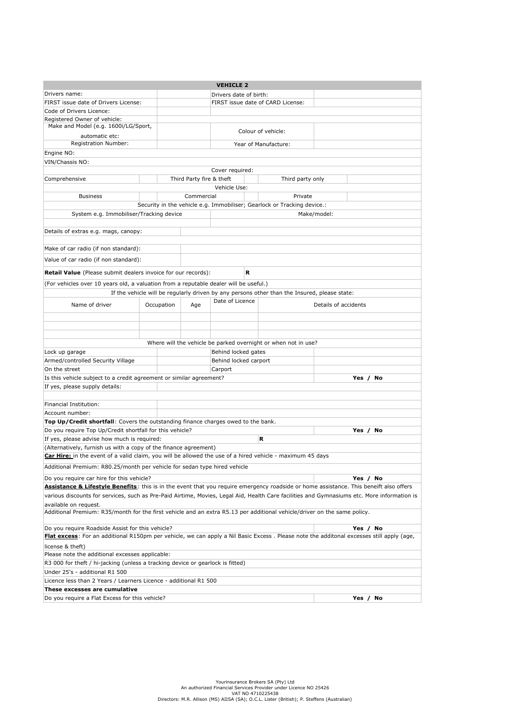|                                                                                                                                             |            |                                   | <b>VEHICLE 2</b>       |                                                                                              |                      |             |  |  |
|---------------------------------------------------------------------------------------------------------------------------------------------|------------|-----------------------------------|------------------------|----------------------------------------------------------------------------------------------|----------------------|-------------|--|--|
| Drivers name:                                                                                                                               |            |                                   | Drivers date of birth: |                                                                                              |                      |             |  |  |
| FIRST issue date of Drivers License:                                                                                                        |            | FIRST issue date of CARD License: |                        |                                                                                              |                      |             |  |  |
| Code of Drivers Licence:                                                                                                                    |            |                                   |                        |                                                                                              |                      |             |  |  |
| Registered Owner of vehicle:<br>Make and Model (e.g. 1600i/LG/Sport,                                                                        |            |                                   |                        | Colour of vehicle:                                                                           |                      |             |  |  |
| automatic etc:<br>Registration Number:                                                                                                      |            |                                   |                        | Year of Manufacture:                                                                         |                      |             |  |  |
| Engine NO:                                                                                                                                  |            |                                   |                        |                                                                                              |                      |             |  |  |
| VIN/Chassis NO:                                                                                                                             |            |                                   |                        |                                                                                              |                      |             |  |  |
|                                                                                                                                             |            |                                   | Cover required:        |                                                                                              |                      |             |  |  |
| Comprehensive                                                                                                                               |            | Third Party fire & theft          |                        | Third party only                                                                             |                      |             |  |  |
|                                                                                                                                             |            |                                   | Vehicle Use:           |                                                                                              |                      |             |  |  |
| <b>Business</b>                                                                                                                             |            | Commercial                        |                        | Private                                                                                      |                      |             |  |  |
|                                                                                                                                             |            |                                   |                        | Security in the vehicle e.g. Immobiliser; Gearlock or Tracking device.:                      |                      |             |  |  |
| System e.g. Immobiliser/Tracking device                                                                                                     |            |                                   |                        |                                                                                              | Make/model:          |             |  |  |
| Details of extras e.g. mags, canopy:                                                                                                        |            |                                   |                        |                                                                                              |                      |             |  |  |
|                                                                                                                                             |            |                                   |                        |                                                                                              |                      |             |  |  |
| Make of car radio (if non standard):                                                                                                        |            |                                   |                        |                                                                                              |                      |             |  |  |
| Value of car radio (if non standard):                                                                                                       |            |                                   |                        |                                                                                              |                      |             |  |  |
| <b>Retail Value</b> (Please submit dealers invoice for our records):                                                                        |            |                                   | R                      |                                                                                              |                      |             |  |  |
| (For vehicles over 10 years old, a valuation from a reputable dealer will be useful.)                                                       |            |                                   |                        |                                                                                              |                      |             |  |  |
|                                                                                                                                             |            |                                   |                        | If the vehicle will be regularly driven by any persons other than the Insured, please state: |                      |             |  |  |
| Name of driver                                                                                                                              | Occupation | Age                               | Date of Licence        |                                                                                              | Details of accidents |             |  |  |
|                                                                                                                                             |            |                                   |                        |                                                                                              |                      |             |  |  |
|                                                                                                                                             |            |                                   |                        |                                                                                              |                      |             |  |  |
|                                                                                                                                             |            |                                   |                        |                                                                                              |                      |             |  |  |
|                                                                                                                                             |            |                                   |                        | Where will the vehicle be parked overnight or when not in use?                               |                      |             |  |  |
| Lock up garage                                                                                                                              |            |                                   | Behind locked gates    |                                                                                              |                      |             |  |  |
| Armed/controlled Security Village<br>On the street                                                                                          |            |                                   | Behind locked carport  |                                                                                              |                      |             |  |  |
| Is this vehicle subject to a credit agreement or similar agreement?                                                                         |            |                                   | Carport                |                                                                                              |                      | Yes / No    |  |  |
| If yes, please supply details:                                                                                                              |            |                                   |                        |                                                                                              |                      |             |  |  |
|                                                                                                                                             |            |                                   |                        |                                                                                              |                      |             |  |  |
| Financial Institution:                                                                                                                      |            |                                   |                        |                                                                                              |                      |             |  |  |
| Account number:                                                                                                                             |            |                                   |                        |                                                                                              |                      |             |  |  |
| Top Up/Credit shortfall: Covers the outstanding finance charges owed to the bank.                                                           |            |                                   |                        |                                                                                              |                      |             |  |  |
| Do you require Top Up/Credit shortfall for this vehicle?                                                                                    |            |                                   |                        |                                                                                              |                      | Yes / No    |  |  |
| If yes, please advise how much is required:                                                                                                 |            |                                   |                        | R                                                                                            |                      |             |  |  |
| (Alternatively, furnish us with a copy of the finance agreement)                                                                            |            |                                   |                        |                                                                                              |                      |             |  |  |
| Car Hire: in the event of a valid claim, you will be allowed the use of a hired vehicle - maximum 45 days                                   |            |                                   |                        |                                                                                              |                      |             |  |  |
| Additional Premium: R80.25/month per vehicle for sedan type hired vehicle                                                                   |            |                                   |                        |                                                                                              |                      |             |  |  |
| Do you require car hire for this vehicle?                                                                                                   |            |                                   |                        |                                                                                              |                      | No<br>Yes / |  |  |
| Assistance & Lifestyle Benefits: this is in the event that you require emergency roadside or home assistance. This beneift also offers      |            |                                   |                        |                                                                                              |                      |             |  |  |
| various discounts for services, such as Pre-Paid Airtime, Movies, Legal Aid, Health Care facilities and Gymnasiums etc. More information is |            |                                   |                        |                                                                                              |                      |             |  |  |
| available on request.                                                                                                                       |            |                                   |                        |                                                                                              |                      |             |  |  |
| Additional Premium: R35/month for the first vehicle and an extra R5.13 per additional vehicle/driver on the same policy.                    |            |                                   |                        |                                                                                              |                      |             |  |  |
| Do you require Roadside Assist for this vehicle?<br>Yes / No                                                                                |            |                                   |                        |                                                                                              |                      |             |  |  |
| Flat excess: For an additional R150pm per vehicle, we can apply a Nil Basic Excess. Please note the additonal excesses still apply (age,    |            |                                   |                        |                                                                                              |                      |             |  |  |
| license & theft)                                                                                                                            |            |                                   |                        |                                                                                              |                      |             |  |  |
| Please note the additional excesses applicable:                                                                                             |            |                                   |                        |                                                                                              |                      |             |  |  |
| R3 000 for theft / hi-jacking (unless a tracking device or gearlock is fitted)<br>Under 25's - additional R1 500                            |            |                                   |                        |                                                                                              |                      |             |  |  |
| Licence less than 2 Years / Learners Licence - additional R1 500                                                                            |            |                                   |                        |                                                                                              |                      |             |  |  |
| These excesses are cumulative                                                                                                               |            |                                   |                        |                                                                                              |                      |             |  |  |
| Do you require a Flat Excess for this vehicle?<br>Yes / No                                                                                  |            |                                   |                        |                                                                                              |                      |             |  |  |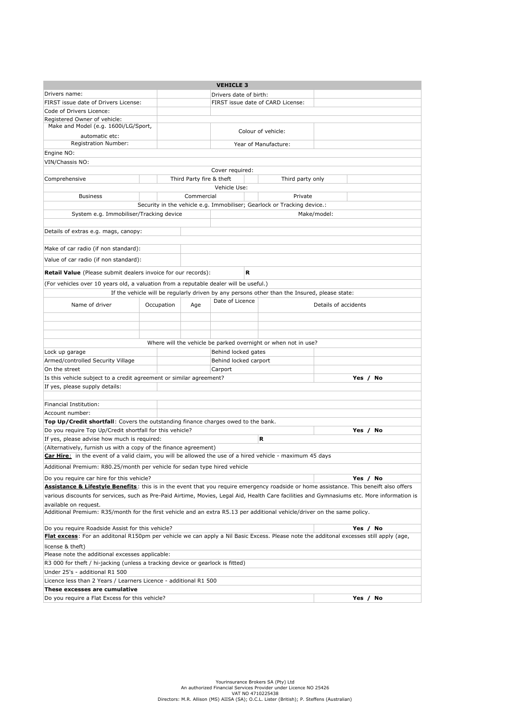|                                                                                                                                             |                        |                                   | <b>VEHICLE 3</b>      |                                                                                              |                      |             |  |
|---------------------------------------------------------------------------------------------------------------------------------------------|------------------------|-----------------------------------|-----------------------|----------------------------------------------------------------------------------------------|----------------------|-------------|--|
| Drivers name:                                                                                                                               | Drivers date of birth: |                                   |                       |                                                                                              |                      |             |  |
| FIRST issue date of Drivers License:                                                                                                        |                        | FIRST issue date of CARD License: |                       |                                                                                              |                      |             |  |
| Code of Drivers Licence:                                                                                                                    |                        |                                   |                       |                                                                                              |                      |             |  |
| Registered Owner of vehicle:<br>Make and Model (e.g. 1600i/LG/Sport,                                                                        |                        |                                   |                       | Colour of vehicle:                                                                           |                      |             |  |
| automatic etc:<br>Registration Number:                                                                                                      |                        |                                   |                       | Year of Manufacture:                                                                         |                      |             |  |
| Engine NO:                                                                                                                                  |                        |                                   |                       |                                                                                              |                      |             |  |
| VIN/Chassis NO:                                                                                                                             |                        |                                   |                       |                                                                                              |                      |             |  |
|                                                                                                                                             |                        |                                   | Cover required:       |                                                                                              |                      |             |  |
| Comprehensive                                                                                                                               |                        | Third Party fire & theft          |                       | Third party only                                                                             |                      |             |  |
|                                                                                                                                             |                        |                                   | Vehicle Use:          |                                                                                              |                      |             |  |
| <b>Business</b>                                                                                                                             |                        | Commercial                        |                       | Private                                                                                      |                      |             |  |
|                                                                                                                                             |                        |                                   |                       | Security in the vehicle e.g. Immobiliser; Gearlock or Tracking device.:                      |                      |             |  |
| System e.g. Immobiliser/Tracking device                                                                                                     |                        |                                   |                       |                                                                                              | Make/model:          |             |  |
| Details of extras e.g. mags, canopy:                                                                                                        |                        |                                   |                       |                                                                                              |                      |             |  |
|                                                                                                                                             |                        |                                   |                       |                                                                                              |                      |             |  |
| Make of car radio (if non standard):                                                                                                        |                        |                                   |                       |                                                                                              |                      |             |  |
| Value of car radio (if non standard):                                                                                                       |                        |                                   |                       |                                                                                              |                      |             |  |
| <b>Retail Value</b> (Please submit dealers invoice for our records):                                                                        |                        |                                   | R                     |                                                                                              |                      |             |  |
| (For vehicles over 10 years old, a valuation from a reputable dealer will be useful.)                                                       |                        |                                   |                       |                                                                                              |                      |             |  |
|                                                                                                                                             |                        |                                   |                       | If the vehicle will be regularly driven by any persons other than the Insured, please state: |                      |             |  |
| Name of driver                                                                                                                              | Occupation             | Age                               | Date of Licence       |                                                                                              | Details of accidents |             |  |
|                                                                                                                                             |                        |                                   |                       |                                                                                              |                      |             |  |
|                                                                                                                                             |                        |                                   |                       |                                                                                              |                      |             |  |
|                                                                                                                                             |                        |                                   |                       |                                                                                              |                      |             |  |
|                                                                                                                                             |                        |                                   |                       | Where will the vehicle be parked overnight or when not in use?                               |                      |             |  |
| Lock up garage                                                                                                                              |                        |                                   | Behind locked gates   |                                                                                              |                      |             |  |
| Armed/controlled Security Village<br>On the street                                                                                          |                        |                                   | Behind locked carport |                                                                                              |                      |             |  |
| Is this vehicle subject to a credit agreement or similar agreement?                                                                         |                        |                                   | Carport               |                                                                                              |                      | Yes / No    |  |
| If yes, please supply details:                                                                                                              |                        |                                   |                       |                                                                                              |                      |             |  |
|                                                                                                                                             |                        |                                   |                       |                                                                                              |                      |             |  |
| Financial Institution:                                                                                                                      |                        |                                   |                       |                                                                                              |                      |             |  |
| Account number:                                                                                                                             |                        |                                   |                       |                                                                                              |                      |             |  |
| Top Up/Credit shortfall: Covers the outstanding finance charges owed to the bank.                                                           |                        |                                   |                       |                                                                                              |                      |             |  |
| Do you require Top Up/Credit shortfall for this vehicle?                                                                                    |                        |                                   |                       |                                                                                              |                      | Yes / No    |  |
| If yes, please advise how much is required:                                                                                                 |                        |                                   |                       | R                                                                                            |                      |             |  |
| (Alternatively, furnish us with a copy of the finance agreement)                                                                            |                        |                                   |                       |                                                                                              |                      |             |  |
| Car Hire: in the event of a valid claim, you will be allowed the use of a hired vehicle - maximum 45 days                                   |                        |                                   |                       |                                                                                              |                      |             |  |
| Additional Premium: R80.25/month per vehicle for sedan type hired vehicle                                                                   |                        |                                   |                       |                                                                                              |                      |             |  |
| Do you require car hire for this vehicle?                                                                                                   |                        |                                   |                       |                                                                                              |                      | No<br>Yes / |  |
| Assistance & Lifestyle Benefits: this is in the event that you require emergency roadside or home assistance. This beneift also offers      |                        |                                   |                       |                                                                                              |                      |             |  |
| various discounts for services, such as Pre-Paid Airtime, Movies, Legal Aid, Health Care facilities and Gymnasiums etc. More information is |                        |                                   |                       |                                                                                              |                      |             |  |
| available on request.                                                                                                                       |                        |                                   |                       |                                                                                              |                      |             |  |
| Additional Premium: R35/month for the first vehicle and an extra R5.13 per additional vehicle/driver on the same policy.                    |                        |                                   |                       |                                                                                              |                      |             |  |
| Do you require Roadside Assist for this vehicle?<br>Yes / No                                                                                |                        |                                   |                       |                                                                                              |                      |             |  |
| Flat excess: For an additonal R150pm per vehicle we can apply a Nil Basic Excess. Please note the additonal excesses still apply (age,      |                        |                                   |                       |                                                                                              |                      |             |  |
| license & theft)<br>Please note the additional excesses applicable:                                                                         |                        |                                   |                       |                                                                                              |                      |             |  |
|                                                                                                                                             |                        |                                   |                       |                                                                                              |                      |             |  |
| R3 000 for theft / hi-jacking (unless a tracking device or gearlock is fitted)<br>Under 25's - additional R1 500                            |                        |                                   |                       |                                                                                              |                      |             |  |
| Licence less than 2 Years / Learners Licence - additional R1 500                                                                            |                        |                                   |                       |                                                                                              |                      |             |  |
| These excesses are cumulative                                                                                                               |                        |                                   |                       |                                                                                              |                      |             |  |
| Do you require a Flat Excess for this vehicle?<br>Yes / No                                                                                  |                        |                                   |                       |                                                                                              |                      |             |  |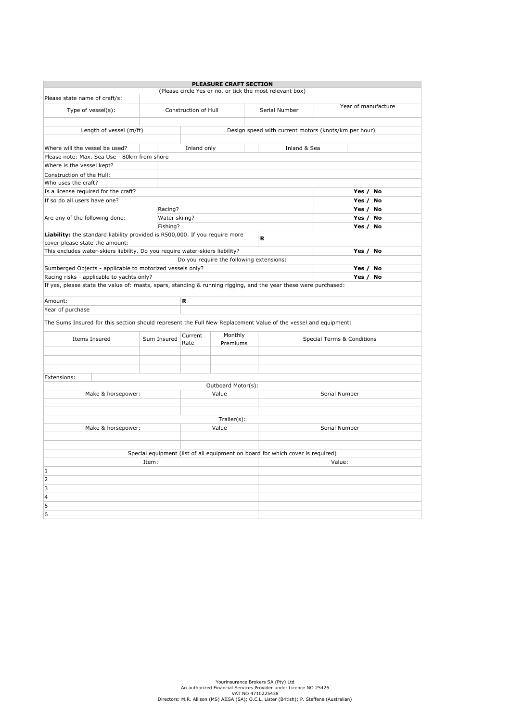|                                                                                                                 |               |                      | <b>PLEASURE CRAFT SECTION</b>            |                                                                                |               |  |  |  |  |  |
|-----------------------------------------------------------------------------------------------------------------|---------------|----------------------|------------------------------------------|--------------------------------------------------------------------------------|---------------|--|--|--|--|--|
| Please state name of craft/s:                                                                                   |               |                      |                                          | (Please circle Yes or no, or tick the most relevant box)                       |               |  |  |  |  |  |
|                                                                                                                 |               | Year of manufacture  |                                          |                                                                                |               |  |  |  |  |  |
| Type of vessel(s):                                                                                              |               | Construction of Hull |                                          | Serial Number                                                                  |               |  |  |  |  |  |
|                                                                                                                 |               |                      |                                          |                                                                                |               |  |  |  |  |  |
| Design speed with current motors (knots/km per hour)<br>Length of vessel (m/ft)                                 |               |                      |                                          |                                                                                |               |  |  |  |  |  |
|                                                                                                                 |               |                      |                                          |                                                                                |               |  |  |  |  |  |
| Inland & Sea<br>Where will the vessel be used?<br>Inland only<br>Please note: Max. Sea Use - 80km from shore    |               |                      |                                          |                                                                                |               |  |  |  |  |  |
|                                                                                                                 |               |                      |                                          |                                                                                |               |  |  |  |  |  |
| Where is the vessel kept?                                                                                       |               |                      |                                          |                                                                                |               |  |  |  |  |  |
| Construction of the Hull:<br>Who uses the craft?                                                                |               |                      |                                          |                                                                                |               |  |  |  |  |  |
|                                                                                                                 |               |                      |                                          |                                                                                |               |  |  |  |  |  |
| Is a license required for the craft?                                                                            |               |                      |                                          |                                                                                | Yes / No      |  |  |  |  |  |
| If so do all users have one?                                                                                    |               |                      |                                          |                                                                                | Yes / No      |  |  |  |  |  |
|                                                                                                                 | Racing?       |                      |                                          |                                                                                | Yes / No      |  |  |  |  |  |
| Are any of the following done:                                                                                  | Water skiing? |                      |                                          |                                                                                | Yes / No      |  |  |  |  |  |
| Liability: the standard liability provided is R500,000. If you require more                                     | Fishing?      |                      |                                          |                                                                                | Yes / No      |  |  |  |  |  |
| cover please state the amount:                                                                                  |               |                      |                                          | R                                                                              |               |  |  |  |  |  |
| This excludes water-skiers liability. Do you require water-skiers liability?                                    |               |                      |                                          |                                                                                | Yes / No      |  |  |  |  |  |
|                                                                                                                 |               |                      | Do you require the following extensions: |                                                                                |               |  |  |  |  |  |
| Sumberged Objects - applicable to motorized vessels only?                                                       |               |                      |                                          |                                                                                | Yes / No      |  |  |  |  |  |
| Racing risks - applicable to yachts only?                                                                       |               |                      |                                          |                                                                                | Yes / No      |  |  |  |  |  |
| If yes, please state the value of: masts, spars, standing & running rigging, and the year these were purchased: |               |                      |                                          |                                                                                |               |  |  |  |  |  |
|                                                                                                                 |               |                      |                                          |                                                                                |               |  |  |  |  |  |
| Amount:                                                                                                         |               | R                    |                                          |                                                                                |               |  |  |  |  |  |
| Year of purchase                                                                                                |               |                      |                                          |                                                                                |               |  |  |  |  |  |
| The Sums Insured for this section should represent the Full New Replacement Value of the vessel and equipment:  |               |                      |                                          |                                                                                |               |  |  |  |  |  |
| Items Insured                                                                                                   | Sum Insured   | Current              | Monthly                                  | <b>Special Terms &amp; Conditions</b>                                          |               |  |  |  |  |  |
|                                                                                                                 |               | Rate                 | Premiums                                 |                                                                                |               |  |  |  |  |  |
|                                                                                                                 |               |                      |                                          |                                                                                |               |  |  |  |  |  |
|                                                                                                                 |               |                      |                                          |                                                                                |               |  |  |  |  |  |
|                                                                                                                 |               |                      |                                          |                                                                                |               |  |  |  |  |  |
| Extensions:                                                                                                     |               |                      |                                          |                                                                                |               |  |  |  |  |  |
|                                                                                                                 |               |                      | Outboard Motor(s):                       |                                                                                |               |  |  |  |  |  |
| Make & horsepower:                                                                                              |               |                      | Value                                    | Serial Number                                                                  |               |  |  |  |  |  |
|                                                                                                                 |               |                      |                                          |                                                                                |               |  |  |  |  |  |
|                                                                                                                 |               |                      |                                          |                                                                                |               |  |  |  |  |  |
|                                                                                                                 |               |                      | Trailer(s):                              |                                                                                |               |  |  |  |  |  |
| Make & horsepower:                                                                                              |               |                      | Value                                    |                                                                                | Serial Number |  |  |  |  |  |
|                                                                                                                 |               |                      |                                          |                                                                                |               |  |  |  |  |  |
|                                                                                                                 |               |                      |                                          |                                                                                |               |  |  |  |  |  |
|                                                                                                                 |               |                      |                                          | Special equipment (list of all equipment on board for which cover is required) |               |  |  |  |  |  |
|                                                                                                                 | Item:         |                      | Value:                                   |                                                                                |               |  |  |  |  |  |
| 1                                                                                                               |               |                      |                                          |                                                                                |               |  |  |  |  |  |
| $\overline{2}$                                                                                                  |               |                      |                                          |                                                                                |               |  |  |  |  |  |
| 3                                                                                                               |               |                      |                                          |                                                                                |               |  |  |  |  |  |
| $\overline{4}$                                                                                                  |               |                      |                                          |                                                                                |               |  |  |  |  |  |
| 5                                                                                                               |               |                      |                                          |                                                                                |               |  |  |  |  |  |
| 6                                                                                                               |               |                      |                                          |                                                                                |               |  |  |  |  |  |